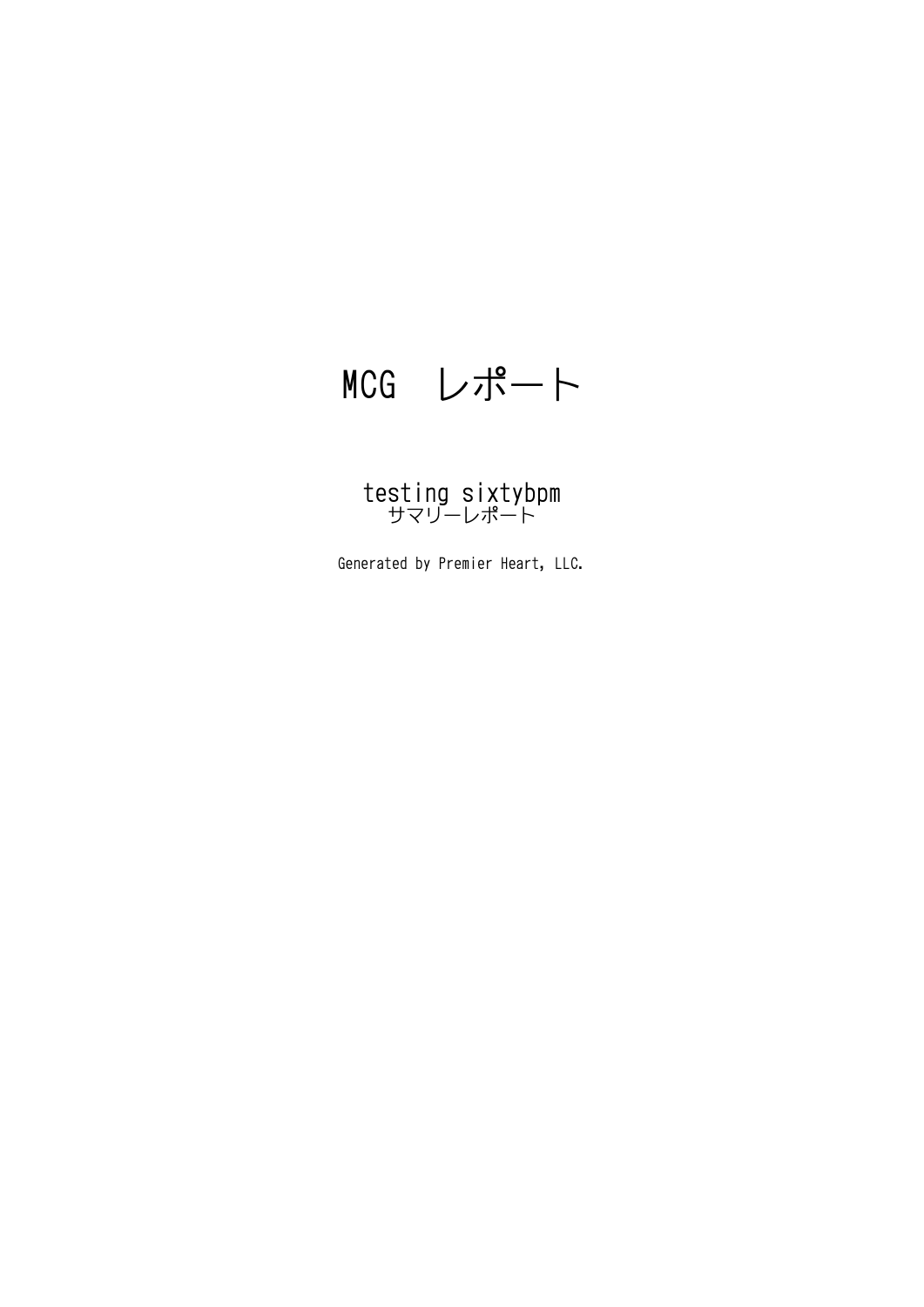## MCG レポート

# testing sixtybpm サマリーレポート

Generated by Premier Heart, LLC.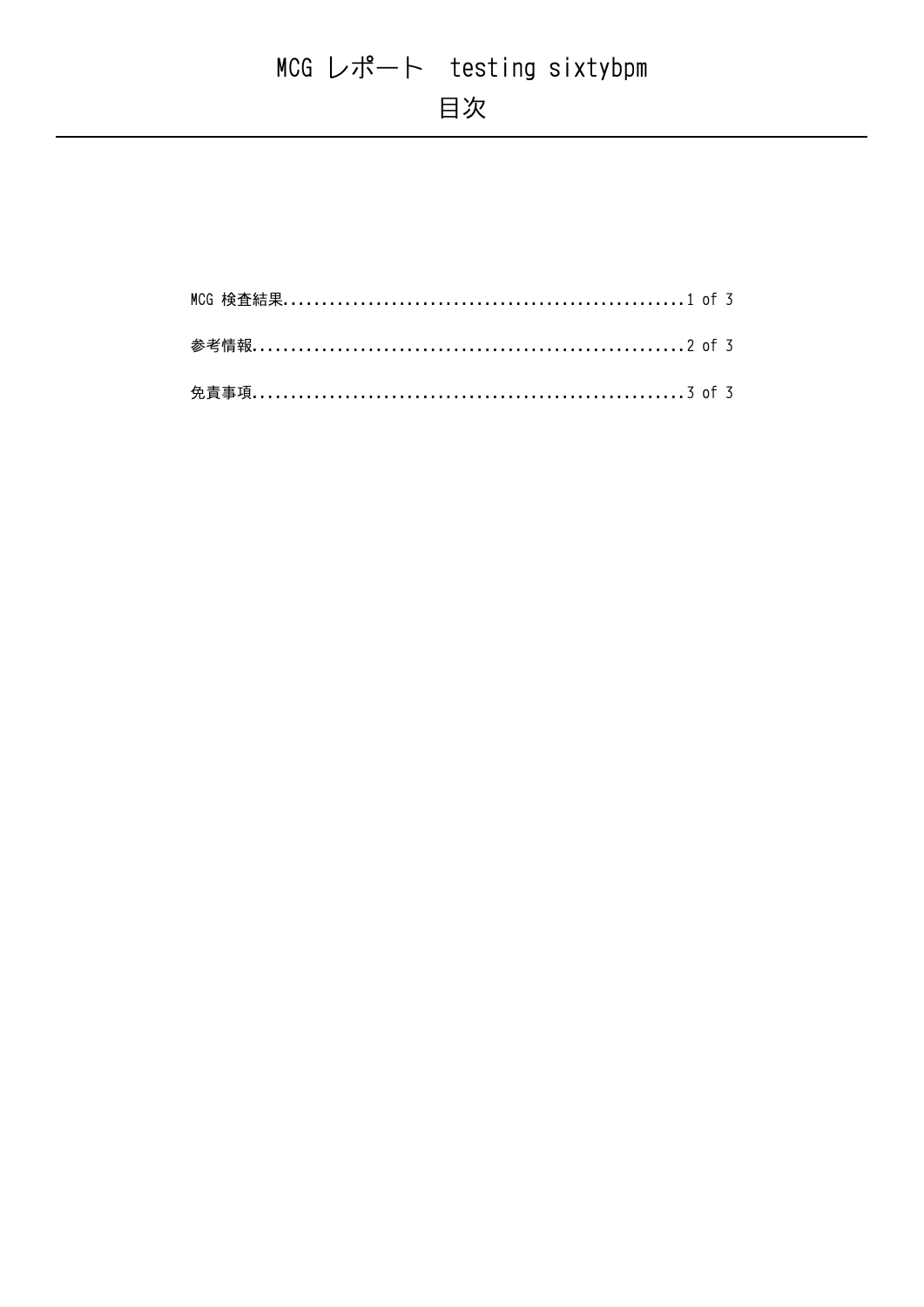## MCG レポート testing sixtybpm 目次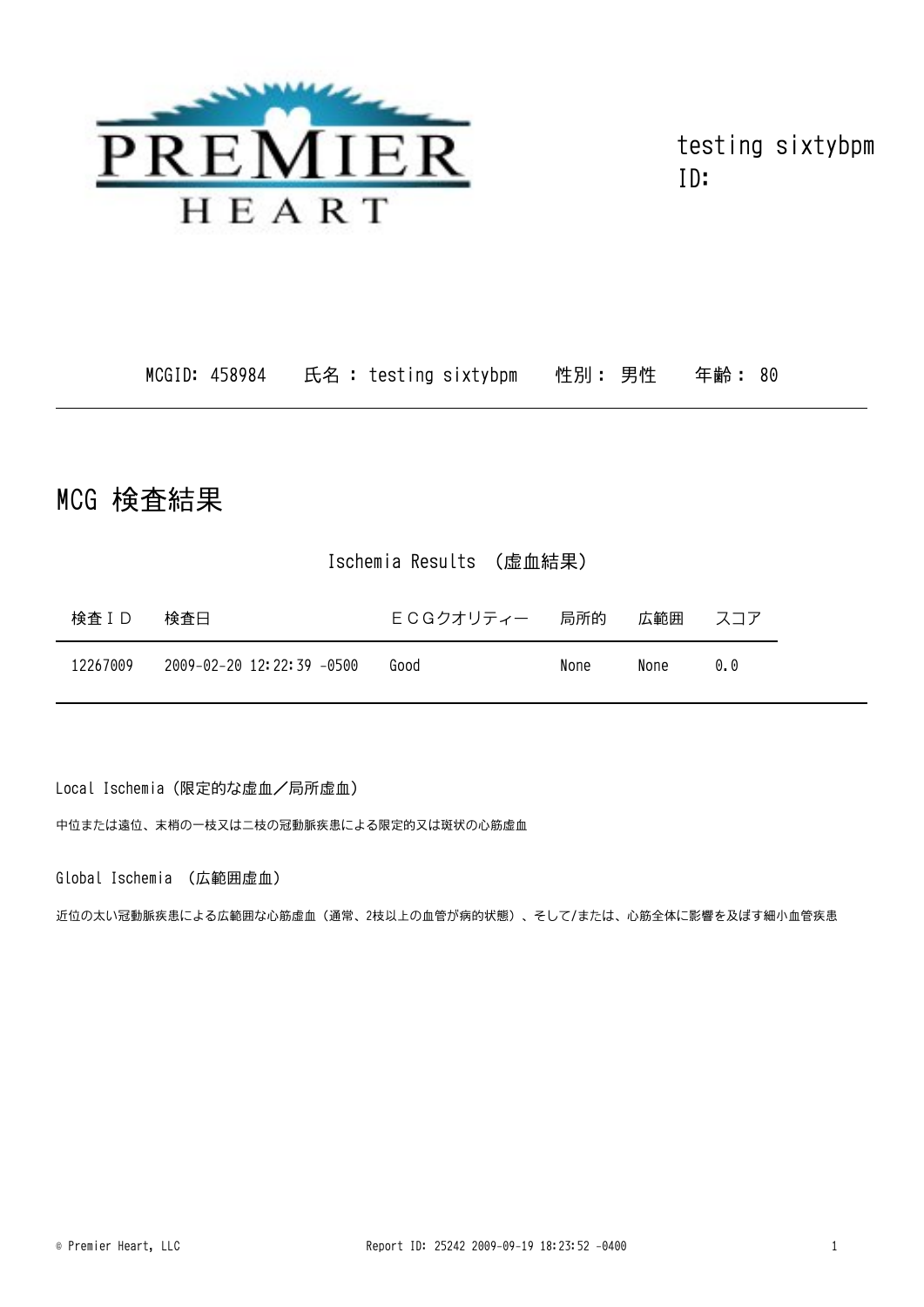

testing sixtybpm ID:

MCGID: 458984 氏名: testing sixtybpm 性別: 男性 年齢: 80

### MCG 検査結果

#### Ischemia Results (虚血結果)

| 検査ID     | 検査日                       | ECGクオリティー 局所的 |      | 広範囲  | スコア |
|----------|---------------------------|---------------|------|------|-----|
| 12267009 | 2009-02-20 12:22:39 -0500 | Good          | None | None | 00  |

Local Ischemia (限定的な虚血/局所虚血)

中位または遠位、末梢の一枝又は二枝の冠動脈疾患による限定的又は斑状の心筋虚血

Global Ischemia (広範囲虚血)

近位の太い冠動脈疾患による広範囲な心筋虚血(通常、2枝以上の血管が病的状態)、そして/または、心筋全体に影響を及ぼす細小血管疾患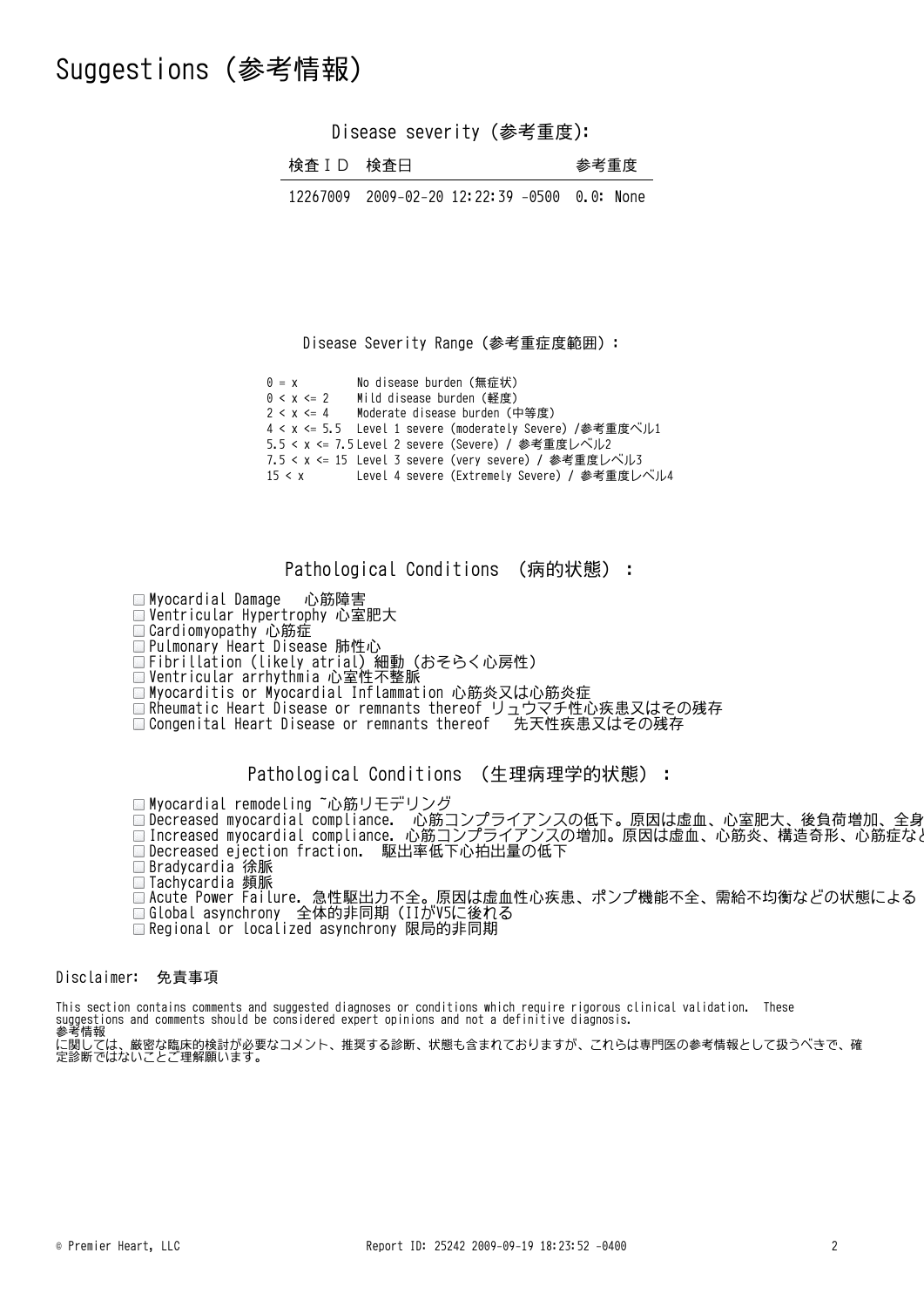### Suggestions (参考情報)

Disease severity (参考重度):

| 参考重度<br>検査 ID 検査日 |
|-------------------|
|-------------------|

12267009 2009-02-20 12:22:39 -0500 0.0: None

Disease Severity Range(参考重症度範囲):

 $0 = x$  No disease burden(無症状)  $0 < x < 2$  Mild disease burden(軽度)  $2 < x < 4$ Moderate disease burden (中等度) 4 < x <= 5.5 Level 1 severe (moderately Severe) /参考重度ベル1 5.5 < x <= 7.5 Level 2 severe (Severe) / 参考重度レベル2 7.5 < x <= 15 Level 3 severe (very severe) / 参考重度レベル3  $15 < x$ Level 4 severe (Extremely Severe) / 参考重度レベル4

Pathological Conditions (病的状態):

Myocardial Damage 心筋障害 Ventricular Hypertrophy 心室肥大 Cardiomyopathy 心筋症vararomyopathy 心动症<br>Pulmonary Heart Disease 肺性心 ratmonar, neart biocace 加圧er<br>Fihrillation (likely atrial) 細動 (おそらく心戸性) Ventricular arrhythmia 心室性不整脈 □Myocarditis or Myocardial Inflammation 心筋炎又は心筋炎症

Rheumatic Heart Disease or remnants thereof リュウマチ性心疾患又はその残存 Congenital Heart Disease or remnants thereof 先天性疾患又はその残存

Pathological Conditions (生理病理学的状態):

■Myocardial remodeling ~心筋リモデリング Decreased myocardial compliance. 心筋コンプライアンスの低下。原因は虚血、心室肥大、後負荷増加、全身性高血圧などIncreased myocardial compliance. 心筋コンプライアンスの増加。原因は虚血、心筋炎、構造奇形、心筋症などDecreased ejection fraction. 駆出率低下心拍出量の低下 Bradycardia 徐脈 Tachycardia 頻脈 Acute Power Failure. 急性駆出力不全。原因は虚血性心疾患、ポンプ機能不全、需給不均衡などの状態による Global asynchrony 全体的非同期(IIがV5に後れる Regional or localized asynchrony 限局的非同期

Disclaimer: 免責事項

This section contains comments and suggested diagnoses or conditions which require rigorous clinical validation. These suggestions and comments should be considered expert opinions and not a definitive diagnosis.

<sub>3589</sub>sections and comments shoutd *b*.<br>参考情報<br>定関しては、厳密な臨床的検討が必要<br>定診断でけかいことご理解願います に関しては、厳密な臨床的検討が必要なコメント、推奨する診断、状態も含まれておりますが、これらは専門医の参考情報として扱うべきで、確